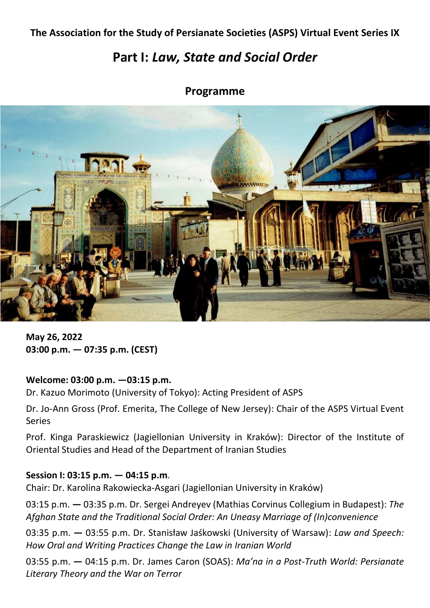# **The Association for the Study of Persianate Societies (ASPS) Virtual Event Series IX**

# **Part I:** *Law, State and Social Order*

# **Programme**



**May 26, 2022 03:00 p.m. — 07:35 p.m. (CEST)**

### **Welcome: 03:00 p.m. —03:15 p.m.**

Dr. Kazuo Morimoto (University of Tokyo): Acting President of ASPS

Dr. Jo-Ann Gross (Prof. Emerita, The College of New Jersey): Chair of the ASPS Virtual Event Series

Prof. Kinga Paraskiewicz (Jagiellonian University in Kraków): Director of the Institute of Oriental Studies and Head of the Department of Iranian Studies

## **Session I: 03:15 p.m. — 04:15 p.m**.

Chair: Dr. Karolina Rakowiecka-Asgari (Jagiellonian University in Kraków)

03:15 p.m. **—** 03:35 p.m. Dr. Sergei Andreyev (Mathias Corvinus Collegium in Budapest): *The Afghan State and the Traditional Social Order: An Uneasy Marriage of (In)convenience*

03:35 p.m. **—** 03:55 p.m. Dr. Stanisław Jaśkowski (University of Warsaw): *Law and Speech: How Oral and Writing Practices Change the Law in Iranian World*

03:55 p.m. **—** 04:15 p.m. Dr. James Caron (SOAS): *Ma'na in a Post-Truth World: Persianate Literary Theory and the War on Terror*